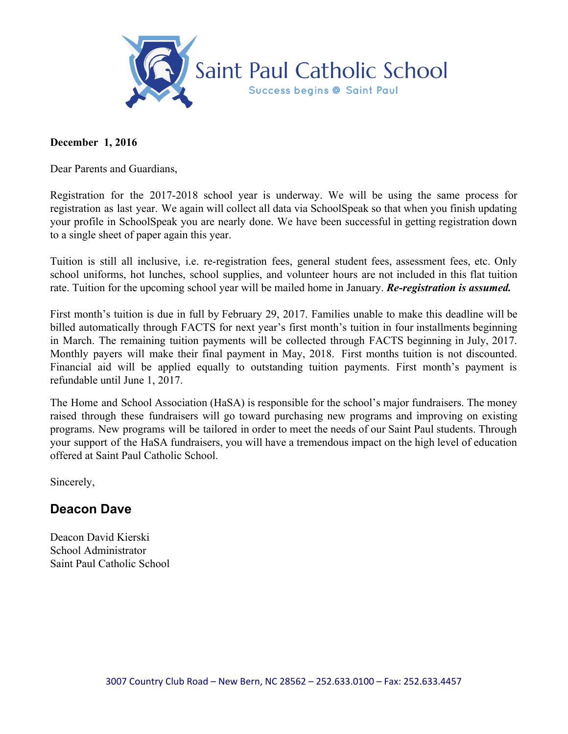

### **December 1, 2016**

Dear Parents and Guardians,

Registration for the 2017-2018 school year is underway. We will be using the same process for registration as last year. We again will collect all data via SchoolSpeak so that when you finish updating your profile in SchoolSpeak you are nearly done. We have been successful in getting registration down to a single sheet of paper again this year.

Tuition is still all inclusive, i.e. re-registration fees, general student fees, assessment fees, etc. Only school uniforms, hot lunches, school supplies, and volunteer hours are not included in this flat tuition rate. Tuition for the upcoming school year will be mailed home in January. *Re-registration is assumed.*

First month's tuition is due in full by February 29, 2017. Families unable to make this deadline will be billed automatically through FACTS for next year's first month's tuition in four installments beginning in March. The remaining tuition payments will be collected through FACTS beginning in July, 2017. Monthly payers will make their final payment in May, 2018. First months tuition is not discounted. Financial aid will be applied equally to outstanding tuition payments. First month's payment is refundable until June 1, 2017.

The Home and School Association (HaSA) is responsible for the school's major fundraisers. The money raised through these fundraisers will go toward purchasing new programs and improving on existing programs. New programs will be tailored in order to meet the needs of our Saint Paul students. Through your support of the HaSA fundraisers, you will have a tremendous impact on the high level of education offered at Saint Paul Catholic School.

Sincerely,

# **Deacon Dave**

Deacon David Kierski School Administrator Saint Paul Catholic School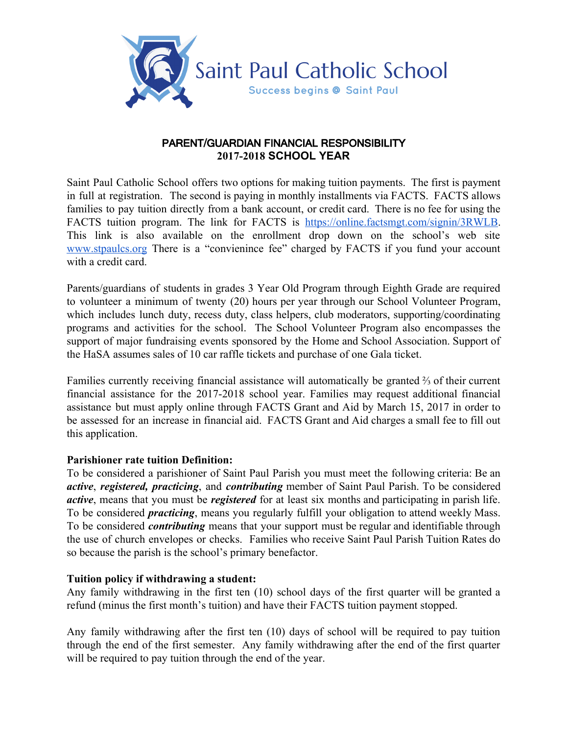

## PARENT/GUARDIAN FINANCIAL RESPONSIBILITY **2017-2018 SCHOOL YEAR**

Saint Paul Catholic School offers two options for making tuition payments. The first is payment in full at registration. The second is paying in monthly installments via FACTS. FACTS allows families to pay tuition directly from a bank account, or credit card. There is no fee for using the FACTS tuition program. The link for FACTS is [https://online.factsmgt.com/signin/3RWLB.](https://online.factsmgt.com/signin/3RWLB) This link is also available on the enrollment drop down on the school's web site [www.stpaulcs.org](http://www.stpaulcs.org/) There is a "convienince fee" charged by FACTS if you fund your account with a credit card.

Parents/guardians of students in grades 3 Year Old Program through Eighth Grade are required to volunteer a minimum of twenty (20) hours per year through our School Volunteer Program, which includes lunch duty, recess duty, class helpers, club moderators, supporting/coordinating programs and activities for the school. The School Volunteer Program also encompasses the support of major fundraising events sponsored by the Home and School Association. Support of the HaSA assumes sales of 10 car raffle tickets and purchase of one Gala ticket.

Families currently receiving financial assistance will automatically be granted ⅔ of their current financial assistance for the 2017-2018 school year. Families may request additional financial assistance but must apply online through FACTS Grant and Aid by March 15, 2017 in order to be assessed for an increase in financial aid. FACTS Grant and Aid charges a small fee to fill out this application.

### **Parishioner rate tuition Definition:**

To be considered a parishioner of Saint Paul Parish you must meet the following criteria: Be an *active*, *registered, practicing*, and *contributing* member of Saint Paul Parish. To be considered *active*, means that you must be *registered* for at least six months and participating in parish life. To be considered *practicing*, means you regularly fulfill your obligation to attend weekly Mass. To be considered *contributing* means that your support must be regular and identifiable through the use of church envelopes or checks. Families who receive Saint Paul Parish Tuition Rates do so because the parish is the school's primary benefactor.

### **Tuition policy if withdrawing a student:**

Any family withdrawing in the first ten (10) school days of the first quarter will be granted a refund (minus the first month's tuition) and have their FACTS tuition payment stopped.

Any family withdrawing after the first ten (10) days of school will be required to pay tuition through the end of the first semester. Any family withdrawing after the end of the first quarter will be required to pay tuition through the end of the year.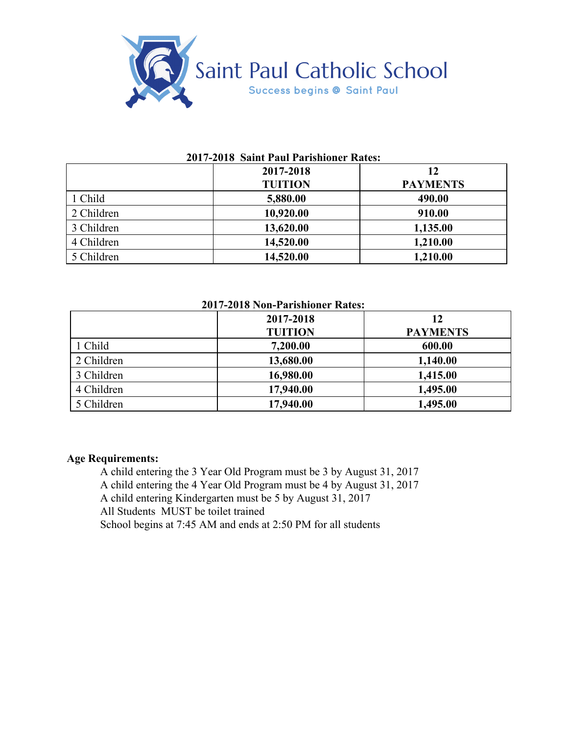

#### **2017-2018 Saint Paul Parishioner Rates:**

|            | 2017-2018      | 12              |
|------------|----------------|-----------------|
|            | <b>TUITION</b> | <b>PAYMENTS</b> |
| 1 Child    | 5,880.00       | 490.00          |
| 2 Children | 10,920.00      | 910.00          |
| 3 Children | 13,620.00      | 1,135.00        |
| 4 Children | 14,520.00      | 1,210.00        |
| 5 Children | 14,520.00      | 1,210.00        |

# **2017-2018 Non-Parishioner Rates:**

|            | 2017-2018      | 12              |
|------------|----------------|-----------------|
|            | <b>TUITION</b> | <b>PAYMENTS</b> |
| 1 Child    | 7,200.00       | 600.00          |
| 2 Children | 13,680.00      | 1,140.00        |
| 3 Children | 16,980.00      | 1,415.00        |
| 4 Children | 17,940.00      | 1,495.00        |
| 5 Children | 17,940.00      | 1,495.00        |

## **Age Requirements:**

A child entering the 3 Year Old Program must be 3 by August 31, 2017 A child entering the 4 Year Old Program must be 4 by August 31, 2017 A child entering Kindergarten must be 5 by August 31, 2017 All Students MUST be toilet trained School begins at 7:45 AM and ends at 2:50 PM for all students